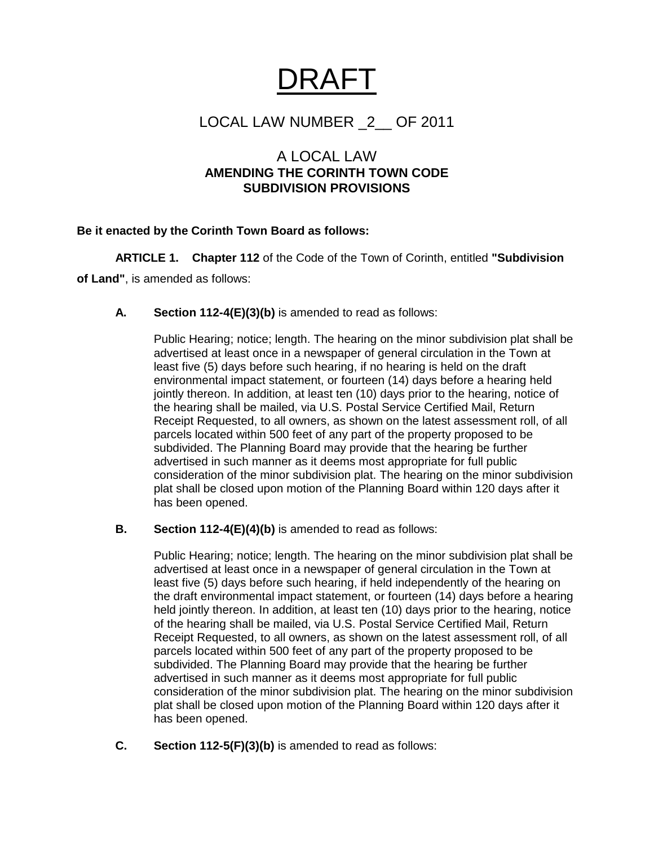# DRAFT

## LOCAL LAW NUMBER \_2\_\_ OF 2011

### A LOCAL LAW **AMENDING THE CORINTH TOWN CODE SUBDIVISION PROVISIONS**

#### **Be it enacted by the Corinth Town Board as follows:**

**ARTICLE 1. Chapter 112** of the Code of the Town of Corinth, entitled **"Subdivision of Land"**, is amended as follows:

#### **A. Section 112-4(E)(3)(b)** is amended to read as follows:

Public Hearing; notice; length. The hearing on the minor subdivision plat shall be advertised at least once in a newspaper of general circulation in the Town at least five (5) days before such hearing, if no hearing is held on the draft environmental impact statement, or fourteen (14) days before a hearing held jointly thereon. In addition, at least ten (10) days prior to the hearing, notice of the hearing shall be mailed, via U.S. Postal Service Certified Mail, Return Receipt Requested, to all owners, as shown on the latest assessment roll, of all parcels located within 500 feet of any part of the property proposed to be subdivided. The Planning Board may provide that the hearing be further advertised in such manner as it deems most appropriate for full public consideration of the minor subdivision plat. The hearing on the minor subdivision plat shall be closed upon motion of the Planning Board within 120 days after it has been opened.

#### **B. Section 112-4(E)(4)(b)** is amended to read as follows:

Public Hearing; notice; length. The hearing on the minor subdivision plat shall be advertised at least once in a newspaper of general circulation in the Town at least five (5) days before such hearing, if held independently of the hearing on the draft environmental impact statement, or fourteen (14) days before a hearing held jointly thereon. In addition, at least ten (10) days prior to the hearing, notice of the hearing shall be mailed, via U.S. Postal Service Certified Mail, Return Receipt Requested, to all owners, as shown on the latest assessment roll, of all parcels located within 500 feet of any part of the property proposed to be subdivided. The Planning Board may provide that the hearing be further advertised in such manner as it deems most appropriate for full public consideration of the minor subdivision plat. The hearing on the minor subdivision plat shall be closed upon motion of the Planning Board within 120 days after it has been opened.

**C. Section 112-5(F)(3)(b)** is amended to read as follows: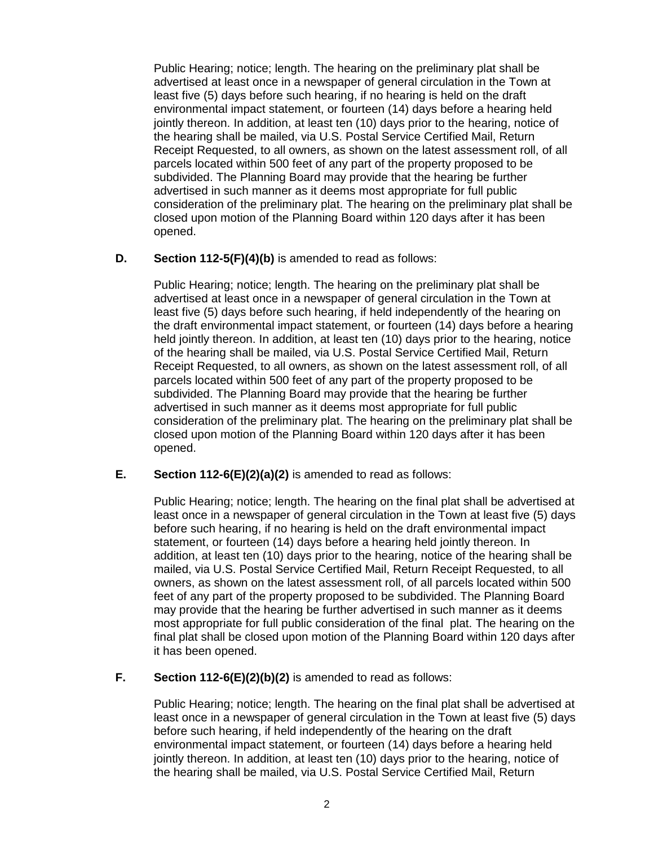Public Hearing; notice; length. The hearing on the preliminary plat shall be advertised at least once in a newspaper of general circulation in the Town at least five (5) days before such hearing, if no hearing is held on the draft environmental impact statement, or fourteen (14) days before a hearing held jointly thereon. In addition, at least ten (10) days prior to the hearing, notice of the hearing shall be mailed, via U.S. Postal Service Certified Mail, Return Receipt Requested, to all owners, as shown on the latest assessment roll, of all parcels located within 500 feet of any part of the property proposed to be subdivided. The Planning Board may provide that the hearing be further advertised in such manner as it deems most appropriate for full public consideration of the preliminary plat. The hearing on the preliminary plat shall be closed upon motion of the Planning Board within 120 days after it has been opened.

#### **D. Section 112-5(F)(4)(b)** is amended to read as follows:

Public Hearing; notice; length. The hearing on the preliminary plat shall be advertised at least once in a newspaper of general circulation in the Town at least five (5) days before such hearing, if held independently of the hearing on the draft environmental impact statement, or fourteen (14) days before a hearing held jointly thereon. In addition, at least ten (10) days prior to the hearing, notice of the hearing shall be mailed, via U.S. Postal Service Certified Mail, Return Receipt Requested, to all owners, as shown on the latest assessment roll, of all parcels located within 500 feet of any part of the property proposed to be subdivided. The Planning Board may provide that the hearing be further advertised in such manner as it deems most appropriate for full public consideration of the preliminary plat. The hearing on the preliminary plat shall be closed upon motion of the Planning Board within 120 days after it has been opened.

#### **E. Section 112-6(E)(2)(a)(2)** is amended to read as follows:

Public Hearing; notice; length. The hearing on the final plat shall be advertised at least once in a newspaper of general circulation in the Town at least five (5) days before such hearing, if no hearing is held on the draft environmental impact statement, or fourteen (14) days before a hearing held jointly thereon. In addition, at least ten (10) days prior to the hearing, notice of the hearing shall be mailed, via U.S. Postal Service Certified Mail, Return Receipt Requested, to all owners, as shown on the latest assessment roll, of all parcels located within 500 feet of any part of the property proposed to be subdivided. The Planning Board may provide that the hearing be further advertised in such manner as it deems most appropriate for full public consideration of the final plat. The hearing on the final plat shall be closed upon motion of the Planning Board within 120 days after it has been opened.

#### **F. Section 112-6(E)(2)(b)(2)** is amended to read as follows:

Public Hearing; notice; length. The hearing on the final plat shall be advertised at least once in a newspaper of general circulation in the Town at least five (5) days before such hearing, if held independently of the hearing on the draft environmental impact statement, or fourteen (14) days before a hearing held jointly thereon. In addition, at least ten (10) days prior to the hearing, notice of the hearing shall be mailed, via U.S. Postal Service Certified Mail, Return